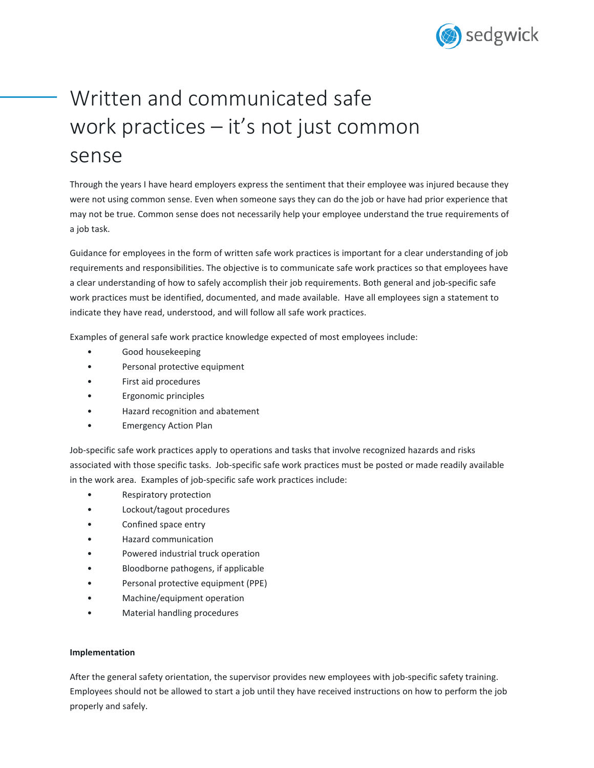

## Written and communicated safe work practices – it's not just common sense

Through the years I have heard employers express the sentiment that their employee was injured because they were not using common sense. Even when someone says they can do the job or have had prior experience that may not be true. Common sense does not necessarily help your employee understand the true requirements of a job task.

Guidance for employees in the form of written safe work practices is important for a clear understanding of job requirements and responsibilities. The objective is to communicate safe work practices so that employees have a clear understanding of how to safely accomplish their job requirements. Both general and job-specific safe work practices must be identified, documented, and made available. Have all employees sign a statement to indicate they have read, understood, and will follow all safe work practices.

Examples of general safe work practice knowledge expected of most employees include:

- Good housekeeping
- Personal protective equipment
- First aid procedures
- Ergonomic principles
- Hazard recognition and abatement
- Emergency Action Plan

Job-specific safe work practices apply to operations and tasks that involve recognized hazards and risks associated with those specific tasks. Job-specific safe work practices must be posted or made readily available in the work area. Examples of job-specific safe work practices include:

- Respiratory protection
- Lockout/tagout procedures
- Confined space entry
- Hazard communication
- Powered industrial truck operation
- Bloodborne pathogens, if applicable
- Personal protective equipment (PPE)
- Machine/equipment operation
- Material handling procedures

## **Implementation**

After the general safety orientation, the supervisor provides new employees with job-specific safety training. Employees should not be allowed to start a job until they have received instructions on how to perform the job properly and safely.